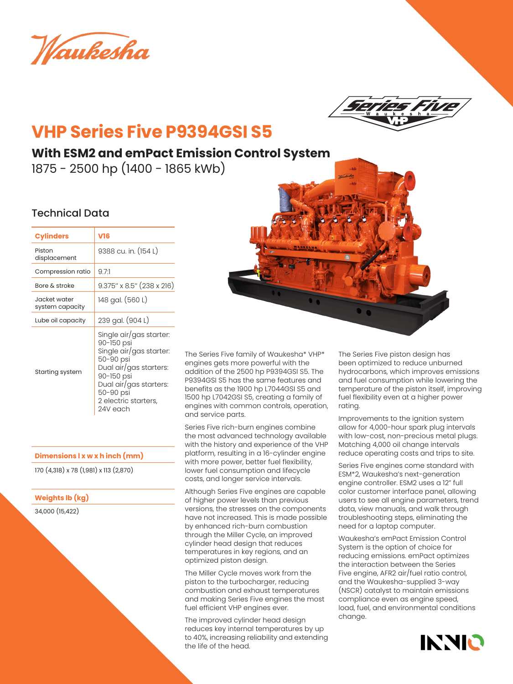Waukesha



# **VHP Series Five P9394GSI S5**

# **With ESM2 and emPact Emission Control System**

1875 - 2500 hp (1400 - 1865 kWb)

### Technical Data

| <b>Cylinders</b>                | V16                                                                                                                                                                                              |  |
|---------------------------------|--------------------------------------------------------------------------------------------------------------------------------------------------------------------------------------------------|--|
| Piston<br>displacement          | 9388 cu. in. (154 L)                                                                                                                                                                             |  |
| Compression ratio               | 9.71                                                                                                                                                                                             |  |
| Bore & stroke                   | 9.375" x 8.5" (238 x 216)                                                                                                                                                                        |  |
| Jacket water<br>system capacity | 148 gal. (560 L)                                                                                                                                                                                 |  |
| Lube oil capacity               | 239 gal. (904 L)                                                                                                                                                                                 |  |
| Starting system                 | Single air/gas starter:<br>90-150 psi<br>Single air/gas starter:<br>50-90 psi<br>Dual air/gas starters:<br>90-150 psi<br>Dual air/gas starters:<br>50-90 psi<br>2 electric starters,<br>24V each |  |

#### **Dimensions l x w x h inch (mm)**

170 (4,318) x 78 (1,981) x 113 (2,870)

**Weights lb (kg)**

34,000 (15,422)



The Series Five family of Waukesha\* VHP\* engines gets more powerful with the addition of the 2500 hp P9394GSI S5. The P9394GSI S5 has the same features and benefits as the 1900 hp L7044GSI S5 and 1500 hp L7042GSI S5, creating a family of engines with common controls, operation, and service parts.

Series Five rich-burn engines combine the most advanced technology available with the history and experience of the VHP platform, resulting in a 16-cylinder engine with more power, better fuel flexibility, lower fuel consumption and lifecycle costs, and longer service intervals.

Although Series Five engines are capable of higher power levels than previous versions, the stresses on the components have not increased. This is made possible by enhanced rich-burn combustion through the Miller Cycle, an improved cylinder head design that reduces temperatures in key regions, and an optimized piston design.

The Miller Cycle moves work from the piston to the turbocharger, reducing combustion and exhaust temperatures and making Series Five engines the most fuel efficient VHP engines ever.

The improved cylinder head design reduces key internal temperatures by up to 40%, increasing reliability and extending the life of the head.

The Series Five piston design has been optimized to reduce unburned hydrocarbons, which improves emissions and fuel consumption while lowering the temperature of the piston itself, improving fuel flexibility even at a higher power rating.

Improvements to the ignition system allow for 4,000-hour spark plug intervals with low-cost, non-precious metal plugs. Matching 4,000 oil change intervals reduce operating costs and trips to site.

Series Five engines come standard with ESM\*2, Waukesha's next-generation engine controller. ESM2 uses a 12" full color customer interface panel, allowing users to see all engine parameters, trend data, view manuals, and walk through troubleshooting steps, eliminating the need for a laptop computer.

Waukesha's emPact Emission Control System is the option of choice for reducing emissions. emPact optimizes the interaction between the Series Five engine, AFR2 air/fuel ratio control, and the Waukesha-supplied 3-way (NSCR) catalyst to maintain emissions compliance even as engine speed, load, fuel, and environmental conditions change.